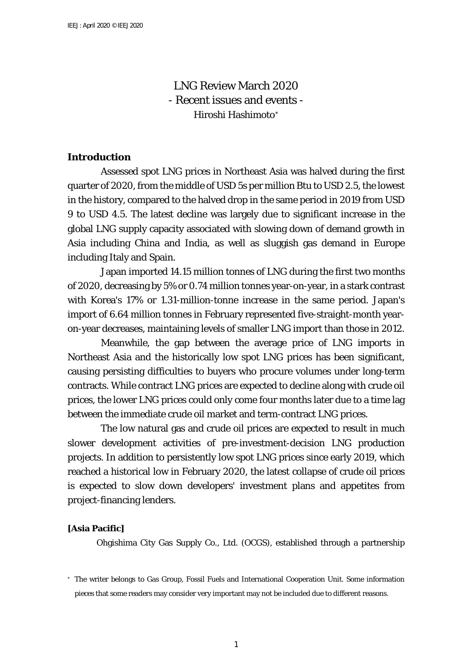LNG Review March 2020 - Recent issues and events - Hiroshi Hashimoto[∗](#page-0-0)

# **Introduction**

Assessed spot LNG prices in Northeast Asia was halved during the first quarter of 2020, from the middle of USD 5s per million Btu to USD 2.5, the lowest in the history, compared to the halved drop in the same period in 2019 from USD 9 to USD 4.5. The latest decline was largely due to significant increase in the global LNG supply capacity associated with slowing down of demand growth in Asia including China and India, as well as sluggish gas demand in Europe including Italy and Spain.

Japan imported 14.15 million tonnes of LNG during the first two months of 2020, decreasing by 5% or 0.74 million tonnes year-on-year, in a stark contrast with Korea's 17% or 1.31-million-tonne increase in the same period. Japan's import of 6.64 million tonnes in February represented five-straight-month yearon-year decreases, maintaining levels of smaller LNG import than those in 2012.

Meanwhile, the gap between the average price of LNG imports in Northeast Asia and the historically low spot LNG prices has been significant, causing persisting difficulties to buyers who procure volumes under long-term contracts. While contract LNG prices are expected to decline along with crude oil prices, the lower LNG prices could only come four months later due to a time lag between the immediate crude oil market and term-contract LNG prices.

The low natural gas and crude oil prices are expected to result in much slower development activities of pre-investment-decision LNG production projects. In addition to persistently low spot LNG prices since early 2019, which reached a historical low in February 2020, the latest collapse of crude oil prices is expected to slow down developers' investment plans and appetites from project-financing lenders.

## **[Asia Pacific]**

Ohgishima City Gas Supply Co., Ltd. (OCGS), established through a partnership

<span id="page-0-0"></span><sup>∗</sup> The writer belongs to Gas Group, Fossil Fuels and International Cooperation Unit. Some information pieces that some readers may consider very important may not be included due to different reasons.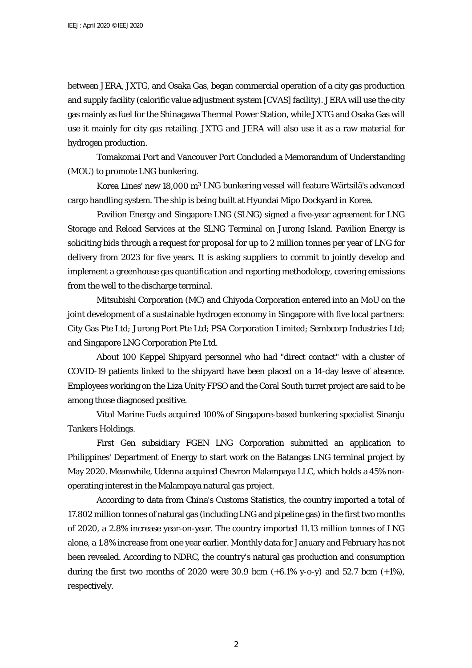between JERA, JXTG, and Osaka Gas, began commercial operation of a city gas production and supply facility (calorific value adjustment system [CVAS] facility). JERA will use the city gas mainly as fuel for the Shinagawa Thermal Power Station, while JXTG and Osaka Gas will use it mainly for city gas retailing. JXTG and JERA will also use it as a raw material for hydrogen production.

Tomakomai Port and Vancouver Port Concluded a Memorandum of Understanding (MOU) to promote LNG bunkering.

Korea Lines' new 18,000 m3 LNG bunkering vessel will feature Wärtsilä's advanced cargo handling system. The ship is being built at Hyundai Mipo Dockyard in Korea.

Pavilion Energy and Singapore LNG (SLNG) signed a five-year agreement for LNG Storage and Reload Services at the SLNG Terminal on Jurong Island. Pavilion Energy is soliciting bids through a request for proposal for up to 2 million tonnes per year of LNG for delivery from 2023 for five years. It is asking suppliers to commit to jointly develop and implement a greenhouse gas quantification and reporting methodology, covering emissions from the well to the discharge terminal.

Mitsubishi Corporation (MC) and Chiyoda Corporation entered into an MoU on the joint development of a sustainable hydrogen economy in Singapore with five local partners: City Gas Pte Ltd; Jurong Port Pte Ltd; PSA Corporation Limited; Sembcorp Industries Ltd; and Singapore LNG Corporation Pte Ltd.

About 100 Keppel Shipyard personnel who had "direct contact" with a cluster of COVID-19 patients linked to the shipyard have been placed on a 14-day leave of absence. Employees working on the Liza Unity FPSO and the Coral South turret project are said to be among those diagnosed positive.

Vitol Marine Fuels acquired 100% of Singapore-based bunkering specialist Sinanju Tankers Holdings.

First Gen subsidiary FGEN LNG Corporation submitted an application to Philippines' Department of Energy to start work on the Batangas LNG terminal project by May 2020. Meanwhile, Udenna acquired Chevron Malampaya LLC, which holds a 45% nonoperating interest in the Malampaya natural gas project.

According to data from China's Customs Statistics, the country imported a total of 17.802 million tonnes of natural gas (including LNG and pipeline gas) in the first two months of 2020, a 2.8% increase year-on-year. The country imported 11.13 million tonnes of LNG alone, a 1.8% increase from one year earlier. Monthly data for January and February has not been revealed. According to NDRC, the country's natural gas production and consumption during the first two months of 2020 were 30.9 bcm  $(+6.1\%$  y-o-y) and 52.7 bcm  $(+1\%)$ , respectively.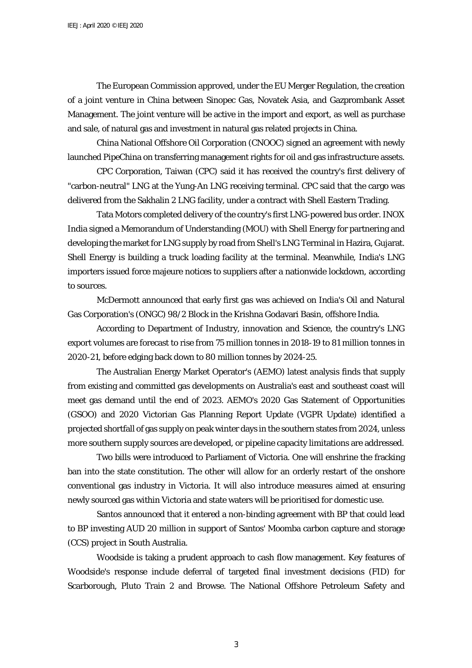The European Commission approved, under the EU Merger Regulation, the creation of a joint venture in China between Sinopec Gas, Novatek Asia, and Gazprombank Asset Management. The joint venture will be active in the import and export, as well as purchase and sale, of natural gas and investment in natural gas related projects in China.

China National Offshore Oil Corporation (CNOOC) signed an agreement with newly launched PipeChina on transferring management rights for oil and gas infrastructure assets.

CPC Corporation, Taiwan (CPC) said it has received the country's first delivery of "carbon-neutral" LNG at the Yung-An LNG receiving terminal. CPC said that the cargo was delivered from the Sakhalin 2 LNG facility, under a contract with Shell Eastern Trading.

Tata Motors completed delivery of the country's first LNG-powered bus order. INOX India signed a Memorandum of Understanding (MOU) with Shell Energy for partnering and developing the market for LNG supply by road from Shell's LNG Terminal in Hazira, Gujarat. Shell Energy is building a truck loading facility at the terminal. Meanwhile, India's LNG importers issued force majeure notices to suppliers after a nationwide lockdown, according to sources.

McDermott announced that early first gas was achieved on India's Oil and Natural Gas Corporation's (ONGC) 98/2 Block in the Krishna Godavari Basin, offshore India.

According to Department of Industry, innovation and Science, the country's LNG export volumes are forecast to rise from 75 million tonnes in 2018-19 to 81 million tonnes in 2020-21, before edging back down to 80 million tonnes by 2024-25.

The Australian Energy Market Operator's (AEMO) latest analysis finds that supply from existing and committed gas developments on Australia's east and southeast coast will meet gas demand until the end of 2023. AEMO's 2020 Gas Statement of Opportunities (GSOO) and 2020 Victorian Gas Planning Report Update (VGPR Update) identified a projected shortfall of gas supply on peak winter days in the southern states from 2024, unless more southern supply sources are developed, or pipeline capacity limitations are addressed.

Two bills were introduced to Parliament of Victoria. One will enshrine the fracking ban into the state constitution. The other will allow for an orderly restart of the onshore conventional gas industry in Victoria. It will also introduce measures aimed at ensuring newly sourced gas within Victoria and state waters will be prioritised for domestic use.

Santos announced that it entered a non-binding agreement with BP that could lead to BP investing AUD 20 million in support of Santos' Moomba carbon capture and storage (CCS) project in South Australia.

Woodside is taking a prudent approach to cash flow management. Key features of Woodside's response include deferral of targeted final investment decisions (FID) for Scarborough, Pluto Train 2 and Browse. The National Offshore Petroleum Safety and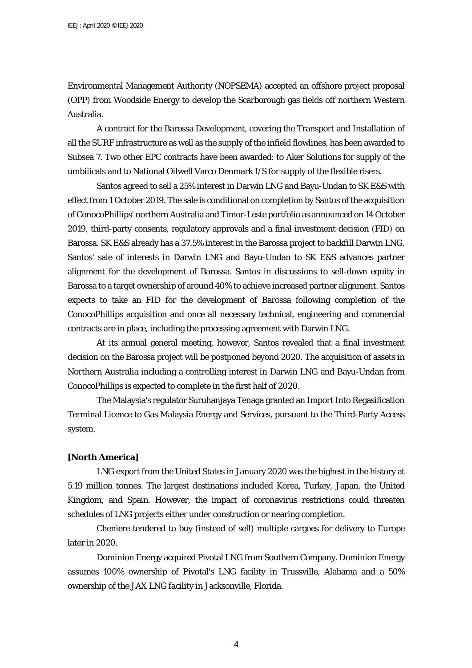Environmental Management Authority (NOPSEMA) accepted an offshore project proposal (OPP) from Woodside Energy to develop the Scarborough gas fields off northern Western Australia.

A contract for the Barossa Development, covering the Transport and Installation of all the SURF infrastructure as well as the supply of the infield flowlines, has been awarded to Subsea 7. Two other EPC contracts have been awarded: to Aker Solutions for supply of the umbilicals and to National Oilwell Varco Denmark I/S for supply of the flexible risers.

Santos agreed to sell a 25% interest in Darwin LNG and Bayu-Undan to SK E&S with effect from 1 October 2019. The sale is conditional on completion by Santos of the acquisition of ConocoPhillips' northern Australia and Timor-Leste portfolio as announced on 14 October 2019, third-party consents, regulatory approvals and a final investment decision (FID) on Barossa. SK E&S already has a 37.5% interest in the Barossa project to backfill Darwin LNG. Santos' sale of interests in Darwin LNG and Bayu-Undan to SK E&S advances partner alignment for the development of Barossa. Santos in discussions to sell-down equity in Barossa to a target ownership of around 40% to achieve increased partner alignment. Santos expects to take an FID for the development of Barossa following completion of the ConocoPhillips acquisition and once all necessary technical, engineering and commercial contracts are in place, including the processing agreement with Darwin LNG.

At its annual general meeting, however, Santos revealed that a final investment decision on the Barossa project will be postponed beyond 2020. The acquisition of assets in Northern Australia including a controlling interest in Darwin LNG and Bayu-Undan from ConocoPhillips is expected to complete in the first half of 2020.

The Malaysia's regulator Suruhanjaya Tenaga granted an Import Into Regasification Terminal Licence to Gas Malaysia Energy and Services, pursuant to the Third-Party Access system.

#### **[North America]**

LNG export from the United States in January 2020 was the highest in the history at 5.19 million tonnes. The largest destinations included Korea, Turkey, Japan, the United Kingdom, and Spain. However, the impact of coronavirus restrictions could threaten schedules of LNG projects either under construction or nearing completion.

Cheniere tendered to buy (instead of sell) multiple cargoes for delivery to Europe later in 2020.

Dominion Energy acquired Pivotal LNG from Southern Company. Dominion Energy assumes 100% ownership of Pivotal's LNG facility in Trussville, Alabama and a 50% ownership of the JAX LNG facility in Jacksonville, Florida.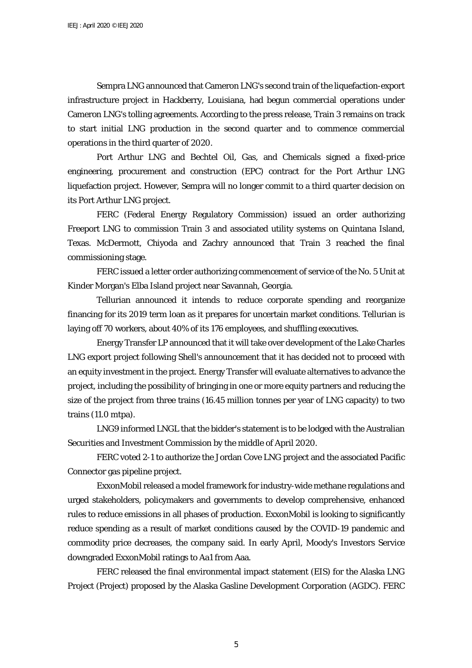Sempra LNG announced that Cameron LNG's second train of the liquefaction-export infrastructure project in Hackberry, Louisiana, had begun commercial operations under Cameron LNG's tolling agreements. According to the press release, Train 3 remains on track to start initial LNG production in the second quarter and to commence commercial operations in the third quarter of 2020.

Port Arthur LNG and Bechtel Oil, Gas, and Chemicals signed a fixed-price engineering, procurement and construction (EPC) contract for the Port Arthur LNG liquefaction project. However, Sempra will no longer commit to a third quarter decision on its Port Arthur LNG project.

FERC (Federal Energy Regulatory Commission) issued an order authorizing Freeport LNG to commission Train 3 and associated utility systems on Quintana Island, Texas. McDermott, Chiyoda and Zachry announced that Train 3 reached the final commissioning stage.

FERC issued a letter order authorizing commencement of service of the No. 5 Unit at Kinder Morgan's Elba Island project near Savannah, Georgia.

Tellurian announced it intends to reduce corporate spending and reorganize financing for its 2019 term loan as it prepares for uncertain market conditions. Tellurian is laying off 70 workers, about 40% of its 176 employees, and shuffling executives.

Energy Transfer LP announced that it will take over development of the Lake Charles LNG export project following Shell's announcement that it has decided not to proceed with an equity investment in the project. Energy Transfer will evaluate alternatives to advance the project, including the possibility of bringing in one or more equity partners and reducing the size of the project from three trains (16.45 million tonnes per year of LNG capacity) to two trains (11.0 mtpa).

LNG9 informed LNGL that the bidder's statement is to be lodged with the Australian Securities and Investment Commission by the middle of April 2020.

FERC voted 2-1 to authorize the Jordan Cove LNG project and the associated Pacific Connector gas pipeline project.

ExxonMobil released a model framework for industry-wide methane regulations and urged stakeholders, policymakers and governments to develop comprehensive, enhanced rules to reduce emissions in all phases of production. ExxonMobil is looking to significantly reduce spending as a result of market conditions caused by the COVID-19 pandemic and commodity price decreases, the company said. In early April, Moody's Investors Service downgraded ExxonMobil ratings to Aa1 from Aaa.

FERC released the final environmental impact statement (EIS) for the Alaska LNG Project (Project) proposed by the Alaska Gasline Development Corporation (AGDC). FERC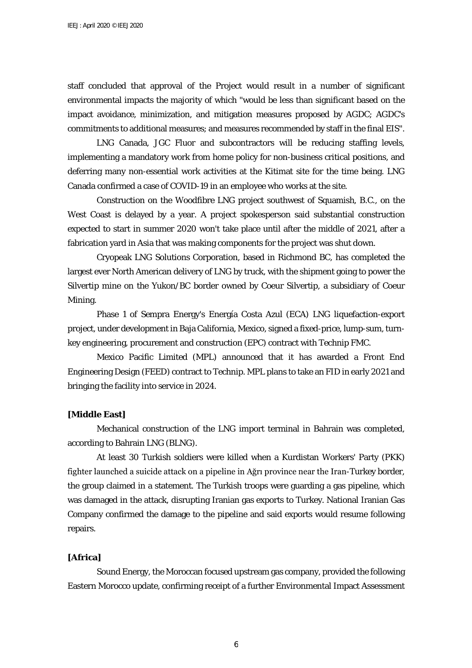staff concluded that approval of the Project would result in a number of significant environmental impacts the majority of which "would be less than significant based on the impact avoidance, minimization, and mitigation measures proposed by AGDC; AGDC's commitments to additional measures; and measures recommended by staff in the final EIS".

LNG Canada, JGC Fluor and subcontractors will be reducing staffing levels, implementing a mandatory work from home policy for non-business critical positions, and deferring many non-essential work activities at the Kitimat site for the time being. LNG Canada confirmed a case of COVID-19 in an employee who works at the site.

Construction on the Woodfibre LNG project southwest of Squamish, B.C., on the West Coast is delayed by a year. A project spokesperson said substantial construction expected to start in summer 2020 won't take place until after the middle of 2021, after a fabrication yard in Asia that was making components for the project was shut down.

Cryopeak LNG Solutions Corporation, based in Richmond BC, has completed the largest ever North American delivery of LNG by truck, with the shipment going to power the Silvertip mine on the Yukon/BC border owned by Coeur Silvertip, a subsidiary of Coeur Mining.

Phase 1 of Sempra Energy's Energía Costa Azul (ECA) LNG liquefaction-export project, under development in Baja California, Mexico, signed a fixed-price, lump-sum, turnkey engineering, procurement and construction (EPC) contract with Technip FMC.

Mexico Pacific Limited (MPL) announced that it has awarded a Front End Engineering Design (FEED) contract to Technip. MPL plans to take an FID in early 2021 and bringing the facility into service in 2024.

### **[Middle East]**

Mechanical construction of the LNG import terminal in Bahrain was completed, according to Bahrain LNG (BLNG).

At least 30 Turkish soldiers were killed when a Kurdistan Workers' Party (PKK) fighter launched a suicide attack on a pipeline in Ağrı province near the Iran-Turkey border, the group claimed in a statement. The Turkish troops were guarding a gas pipeline, which was damaged in the attack, disrupting Iranian gas exports to Turkey. National Iranian Gas Company confirmed the damage to the pipeline and said exports would resume following repairs.

#### **[Africa]**

Sound Energy, the Moroccan focused upstream gas company, provided the following Eastern Morocco update, confirming receipt of a further Environmental Impact Assessment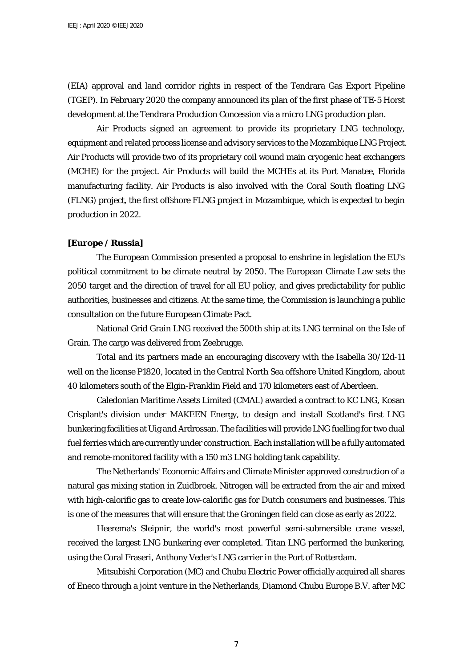(EIA) approval and land corridor rights in respect of the Tendrara Gas Export Pipeline (TGEP). In February 2020 the company announced its plan of the first phase of TE-5 Horst development at the Tendrara Production Concession via a micro LNG production plan.

Air Products signed an agreement to provide its proprietary LNG technology, equipment and related process license and advisory services to the Mozambique LNG Project. Air Products will provide two of its proprietary coil wound main cryogenic heat exchangers (MCHE) for the project. Air Products will build the MCHEs at its Port Manatee, Florida manufacturing facility. Air Products is also involved with the Coral South floating LNG (FLNG) project, the first offshore FLNG project in Mozambique, which is expected to begin production in 2022.

#### **[Europe / Russia]**

The European Commission presented a proposal to enshrine in legislation the EU's political commitment to be climate neutral by 2050. The European Climate Law sets the 2050 target and the direction of travel for all EU policy, and gives predictability for public authorities, businesses and citizens. At the same time, the Commission is launching a public consultation on the future European Climate Pact.

National Grid Grain LNG received the 500th ship at its LNG terminal on the Isle of Grain. The cargo was delivered from Zeebrugge.

Total and its partners made an encouraging discovery with the Isabella 30/12d-11 well on the license P1820, located in the Central North Sea offshore United Kingdom, about 40 kilometers south of the Elgin-Franklin Field and 170 kilometers east of Aberdeen.

Caledonian Maritime Assets Limited (CMAL) awarded a contract to KC LNG, Kosan Crisplant's division under MAKEEN Energy, to design and install Scotland's first LNG bunkering facilities at Uig and Ardrossan. The facilities will provide LNG fuelling for two dual fuel ferries which are currently under construction. Each installation will be a fully automated and remote-monitored facility with a 150 m3 LNG holding tank capability.

The Netherlands' Economic Affairs and Climate Minister approved construction of a natural gas mixing station in Zuidbroek. Nitrogen will be extracted from the air and mixed with high-calorific gas to create low-calorific gas for Dutch consumers and businesses. This is one of the measures that will ensure that the Groningen field can close as early as 2022.

Heerema's Sleipnir, the world's most powerful semi-submersible crane vessel, received the largest LNG bunkering ever completed. Titan LNG performed the bunkering, using the Coral Fraseri, Anthony Veder's LNG carrier in the Port of Rotterdam.

Mitsubishi Corporation (MC) and Chubu Electric Power officially acquired all shares of Eneco through a joint venture in the Netherlands, Diamond Chubu Europe B.V. after MC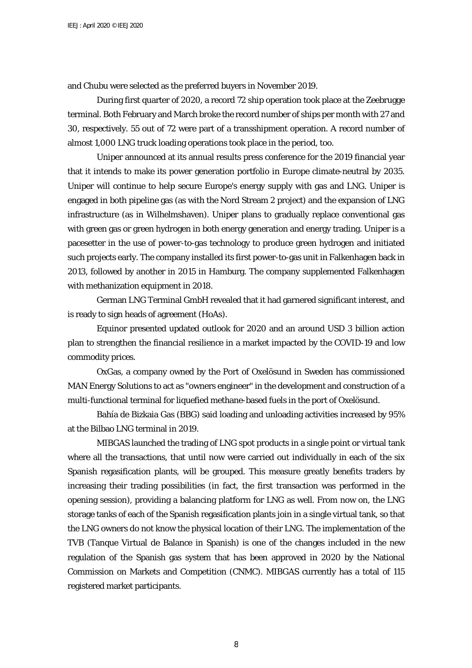and Chubu were selected as the preferred buyers in November 2019.

During first quarter of 2020, a record 72 ship operation took place at the Zeebrugge terminal. Both February and March broke the record number of ships per month with 27 and 30, respectively. 55 out of 72 were part of a transshipment operation. A record number of almost 1,000 LNG truck loading operations took place in the period, too.

Uniper announced at its annual results press conference for the 2019 financial year that it intends to make its power generation portfolio in Europe climate-neutral by 2035. Uniper will continue to help secure Europe's energy supply with gas and LNG. Uniper is engaged in both pipeline gas (as with the Nord Stream 2 project) and the expansion of LNG infrastructure (as in Wilhelmshaven). Uniper plans to gradually replace conventional gas with green gas or green hydrogen in both energy generation and energy trading. Uniper is a pacesetter in the use of power-to-gas technology to produce green hydrogen and initiated such projects early. The company installed its first power-to-gas unit in Falkenhagen back in 2013, followed by another in 2015 in Hamburg. The company supplemented Falkenhagen with methanization equipment in 2018.

German LNG Terminal GmbH revealed that it had garnered significant interest, and is ready to sign heads of agreement (HoAs).

Equinor presented updated outlook for 2020 and an around USD 3 billion action plan to strengthen the financial resilience in a market impacted by the COVID-19 and low commodity prices.

OxGas, a company owned by the Port of Oxelösund in Sweden has commissioned MAN Energy Solutions to act as "owners engineer" in the development and construction of a multi-functional terminal for liquefied methane-based fuels in the port of Oxelösund.

Bahía de Bizkaia Gas (BBG) said loading and unloading activities increased by 95% at the Bilbao LNG terminal in 2019.

MIBGAS launched the trading of LNG spot products in a single point or virtual tank where all the transactions, that until now were carried out individually in each of the six Spanish regasification plants, will be grouped. This measure greatly benefits traders by increasing their trading possibilities (in fact, the first transaction was performed in the opening session), providing a balancing platform for LNG as well. From now on, the LNG storage tanks of each of the Spanish regasification plants join in a single virtual tank, so that the LNG owners do not know the physical location of their LNG. The implementation of the TVB (Tanque Virtual de Balance in Spanish) is one of the changes included in the new regulation of the Spanish gas system that has been approved in 2020 by the National Commission on Markets and Competition (CNMC). MIBGAS currently has a total of 115 registered market participants.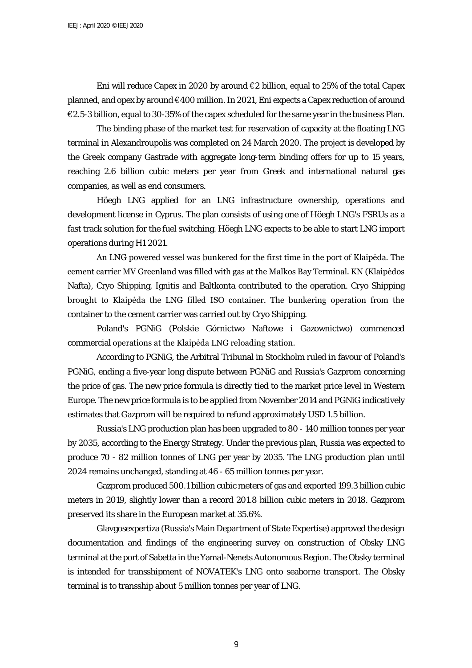Eni will reduce Capex in 2020 by around  $\epsilon$ 2 billion, equal to 25% of the total Capex planned, and opex by around €400 million. In 2021, Eni expects a Capex reduction of around €2.5-3 billion, equal to 30-35% of the capex scheduled for the same year in the business Plan.

The binding phase of the market test for reservation of capacity at the floating LNG terminal in Alexandroupolis was completed on 24 March 2020. The project is developed by the Greek company Gastrade with aggregate long-term binding offers for up to 15 years, reaching 2.6 billion cubic meters per year from Greek and international natural gas companies, as well as end consumers.

Höegh LNG applied for an LNG infrastructure ownership, operations and development license in Cyprus. The plan consists of using one of Höegh LNG's FSRUs as a fast track solution for the fuel switching. Höegh LNG expects to be able to start LNG import operations during H1 2021.

An LNG powered vessel was bunkered for the first time in the port of Klaipėda. The cement carrier MV Greenland was filled with gas at the Malkos Bay Terminal. KN (Klaipėdos Nafta), Cryo Shipping, Ignitis and Baltkonta contributed to the operation. Cryo Shipping brought to Klaipėda the LNG filled ISO container. The bunkering operation from the container to the cement carrier was carried out by Cryo Shipping.

Poland's PGNiG (Polskie Górnictwo Naftowe i Gazownictwo) commenced commercial operations at the Klaipėda LNG reloading station.

According to PGNiG, the Arbitral Tribunal in Stockholm ruled in favour of Poland's PGNiG, ending a five-year long dispute between PGNiG and Russia's Gazprom concerning the price of gas. The new price formula is directly tied to the market price level in Western Europe. The new price formula is to be applied from November 2014 and PGNiG indicatively estimates that Gazprom will be required to refund approximately USD 1.5 billion.

Russia's LNG production plan has been upgraded to 80 - 140 million tonnes per year by 2035, according to the Energy Strategy. Under the previous plan, Russia was expected to produce 70 - 82 million tonnes of LNG per year by 2035. The LNG production plan until 2024 remains unchanged, standing at 46 - 65 million tonnes per year.

Gazprom produced 500.1 billion cubic meters of gas and exported 199.3 billion cubic meters in 2019, slightly lower than a record 201.8 billion cubic meters in 2018. Gazprom preserved its share in the European market at 35.6%.

Glavgosexpertiza (Russia's Main Department of State Expertise) approved the design documentation and findings of the engineering survey on construction of Obsky LNG terminal at the port of Sabetta in the Yamal-Nenets Autonomous Region. The Obsky terminal is intended for transshipment of NOVATEK's LNG onto seaborne transport. The Obsky terminal is to transship about 5 million tonnes per year of LNG.